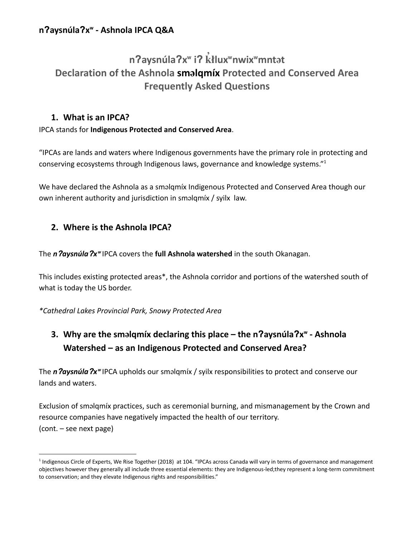#### **n**ʔ**aysnúla**ʔ**x**ʷ **- Ashnola IPCA Q&A**

# **n**ʔ**aysnúla**ʔ**x**ʷ **i**ʔ k ̓ ł**lux**ʷ**nwix**ʷ**mnt**ə**t Declaration of the Ashnola sm**ə**lqmíx Protected and Conserved Area Frequently Asked Questions**

#### **1. What is an IPCA?**

#### IPCA stands for **Indigenous Protected and Conserved Area**.

"IPCAs are lands and waters where Indigenous governments have the primary role in protecting and conserving ecosystems through Indigenous laws, governance and knowledge systems."<sup>1</sup>

We have declared the Ashnola as a sməlqmíx Indigenous Protected and Conserved Area though our own inherent authority and jurisdiction in sməlqmíx / syilx law.

#### **2. Where is the Ashnola IPCA?**

The *n Aaysnúla*  $2x^w$  IPCA covers the **full Ashnola watershed** in the south Okanagan.

This includes existing protected areas\*, the Ashnola corridor and portions of the watershed south of what is today the US border.

*\*Cathedral Lakes Provincial Park, Snowy Protected Area*

## **3. Why are the sm**ə**lqmíx declaring this place – the n**ʔ**aysnúla**ʔ**x**ʷ **- Ashnola Watershed – as an Indigenous Protected and Conserved Area?**

The *n*ʔ*aysnúla*ʔ*x*ʷ IPCA upholds our sməlqmíx / syilx responsibilities to protect and conserve our lands and waters.

Exclusion of sməlqmíx practices, such as ceremonial burning, and mismanagement by the Crown and resource companies have negatively impacted the health of our territory. (cont. – see next page)

<sup>&</sup>lt;sup>1</sup> Indigenous Circle of Experts, We Rise Together (2018) at 104. "IPCAs across Canada will vary in terms of governance and management objectives however they generally all include three essential elements: they are Indigenous-led;they represent a long-term commitment to conservation; and they elevate Indigenous rights and responsibilities."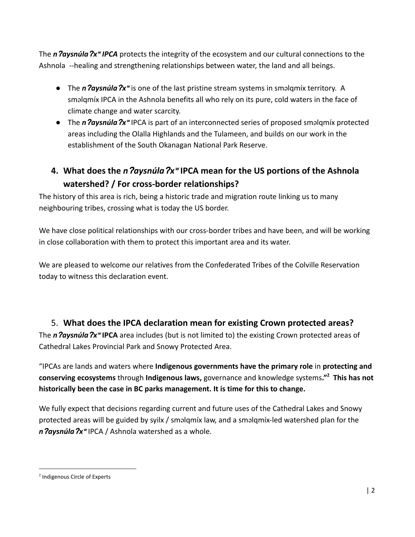The *n Oaysnúla*  $\gamma$ <sup>*w*</sup> *IPCA* protects the integrity of the ecosystem and our cultural connections to the Ashnola --healing and strengthening relationships between water, the land and all beings.

- The *n ?aysnúla* ?x<sup>w</sup> is one of the last pristine stream systems in sməlqmíx territory. A sməlqmíx IPCA in the Ashnola benefits all who rely on its pure, cold waters in the face of climate change and water scarcity.
- **•** The *n Paysnúla*  $2x^*$  IPCA is part of an interconnected series of proposed smalqmíx protected areas including the Olalla Highlands and the Tulameen, and builds on our work in the establishment of the South Okanagan National Park Reserve.

### **4. What does the** *n*ʔ*aysnúla*ʔ*x*ʷ **IPCA mean for the US portions of the Ashnola watershed? / For cross-border relationships?**

The history of this area is rich, being a historic trade and migration route linking us to many neighbouring tribes, crossing what is today the US border.

We have close political relationships with our cross-border tribes and have been, and will be working in close collaboration with them to protect this important area and its water.

We are pleased to welcome our relatives from the Confederated Tribes of the Colville Reservation today to witness this declaration event.

## 5. **What does the IPCA declaration mean for existing Crown protected areas?** The *n Oaysnúla*  $2x^w$  **IPCA** area includes (but is not limited to) the existing Crown protected areas of

Cathedral Lakes Provincial Park and Snowy Protected Area.

"IPCAs are lands and waters where **Indigenous governments have the primary role** in **protecting and conserving ecosystems** through **Indigenous laws,** governance and knowledge systems**."<sup>2</sup> This has not historically been the case in BC parks management. It is time for this to change.**

We fully expect that decisions regarding current and future uses of the Cathedral Lakes and Snowy protected areas will be guided by syilx / sməlqmíx law, and a sməlqmíx-led watershed plan for the *n*ʔ*aysnúla*ʔ*x*ʷ IPCA / Ashnola watershed as a whole.

<sup>2</sup> Indigenous Circle of Experts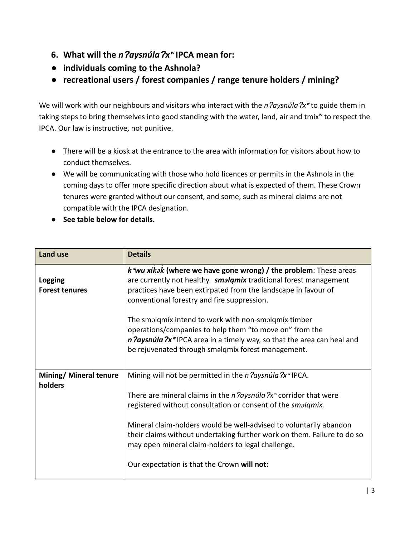- **6. What will the** *n*ʔ*aysnúla*ʔ*x*ʷ **IPCA mean for:**
- **● individuals coming to the Ashnola?**
- **● recreational users / forest companies / range tenure holders / mining?**

We will work with our neighbours and visitors who interact with the *n daysnula*  $\chi$ <sup>w</sup> to guide them in taking steps to bring themselves into good standing with the water, land, air and tmix<sup>w</sup> to respect the IPCA. Our law is instructive, not punitive.

- There will be a kiosk at the entrance to the area with information for visitors about how to conduct themselves.
- We will be communicating with those who hold licences or permits in the Ashnola in the coming days to offer more specific direction about what is expected of them. These Crown tenures were granted without our consent, and some, such as mineral claims are not compatible with the IPCA designation.
- **● See table below for details.**

| <b>Land use</b>                   | <b>Details</b>                                                                                                                                                                                                                                                                                                                                                                                          |
|-----------------------------------|---------------------------------------------------------------------------------------------------------------------------------------------------------------------------------------------------------------------------------------------------------------------------------------------------------------------------------------------------------------------------------------------------------|
| Logging<br><b>Forest tenures</b>  | $k^{\omega}$ wu xikak (where we have gone wrong) / the problem: These areas<br>are currently not healthy. <b><i>smalqmíx</i></b> traditional forest management<br>practices have been extirpated from the landscape in favour of<br>conventional forestry and fire suppression.                                                                                                                         |
|                                   | The smalqmix intend to work with non-smalqmix timber<br>operations/companies to help them "to move on" from the<br>n <i>laysnúla ?x<sup>w</sup></i> IPCA area in a timely way, so that the area can heal and<br>be rejuvenated through smalqmíx forest management.                                                                                                                                      |
| Mining/ Mineral tenure<br>holders | Mining will not be permitted in the $n$ <i>daysnula</i> $2x^w$ IPCA.                                                                                                                                                                                                                                                                                                                                    |
|                                   | There are mineral claims in the <i>n daysnula</i> $2x^{\omega}$ corridor that were<br>registered without consultation or consent of the smalqmíx.<br>Mineral claim-holders would be well-advised to voluntarily abandon<br>their claims without undertaking further work on them. Failure to do so<br>may open mineral claim-holders to legal challenge.<br>Our expectation is that the Crown will not: |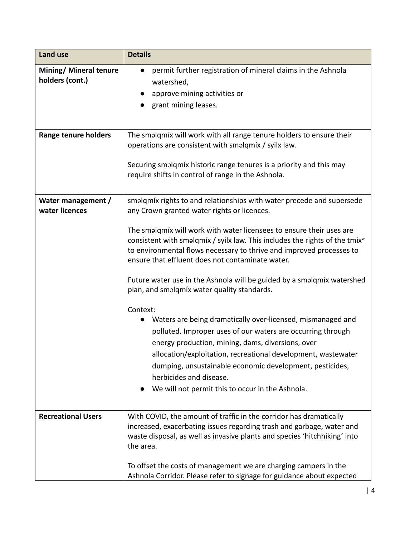| Land use                                         | <b>Details</b>                                                                                                                                                                                                                                                                                                                                                                                                                                                                                                                                                                                                                                                                                                                                                                                                                                                                                                                                          |
|--------------------------------------------------|---------------------------------------------------------------------------------------------------------------------------------------------------------------------------------------------------------------------------------------------------------------------------------------------------------------------------------------------------------------------------------------------------------------------------------------------------------------------------------------------------------------------------------------------------------------------------------------------------------------------------------------------------------------------------------------------------------------------------------------------------------------------------------------------------------------------------------------------------------------------------------------------------------------------------------------------------------|
| <b>Mining/ Mineral tenure</b><br>holders (cont.) | permit further registration of mineral claims in the Ashnola<br>$\bullet$<br>watershed,<br>approve mining activities or<br>grant mining leases.                                                                                                                                                                                                                                                                                                                                                                                                                                                                                                                                                                                                                                                                                                                                                                                                         |
| <b>Range tenure holders</b>                      | The smalqmix will work with all range tenure holders to ensure their<br>operations are consistent with smalqmíx / syilx law.<br>Securing smalqmíx historic range tenures is a priority and this may<br>require shifts in control of range in the Ashnola.                                                                                                                                                                                                                                                                                                                                                                                                                                                                                                                                                                                                                                                                                               |
| Water management /<br>water licences             | smalqmíx rights to and relationships with water precede and supersede<br>any Crown granted water rights or licences.<br>The smalqmix will work with water licensees to ensure their uses are<br>consistent with smalqmíx / syilx law. This includes the rights of the tmix <sup>w</sup><br>to environmental flows necessary to thrive and improved processes to<br>ensure that effluent does not contaminate water.<br>Future water use in the Ashnola will be guided by a smalqmíx watershed<br>plan, and smalqmíx water quality standards.<br>Context:<br>Waters are being dramatically over-licensed, mismanaged and<br>polluted. Improper uses of our waters are occurring through<br>energy production, mining, dams, diversions, over<br>allocation/exploitation, recreational development, wastewater<br>dumping, unsustainable economic development, pesticides,<br>herbicides and disease.<br>We will not permit this to occur in the Ashnola. |
| <b>Recreational Users</b>                        | With COVID, the amount of traffic in the corridor has dramatically<br>increased, exacerbating issues regarding trash and garbage, water and<br>waste disposal, as well as invasive plants and species 'hitchhiking' into<br>the area.<br>To offset the costs of management we are charging campers in the<br>Ashnola Corridor. Please refer to signage for guidance about expected                                                                                                                                                                                                                                                                                                                                                                                                                                                                                                                                                                      |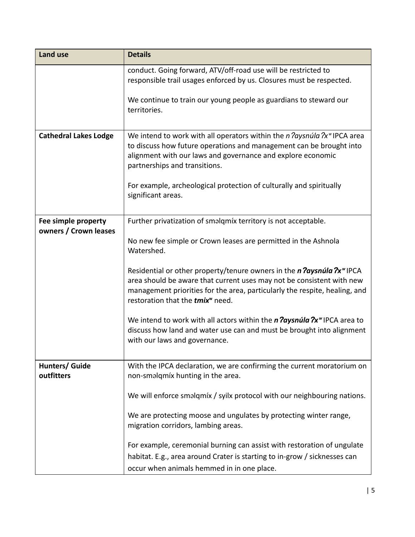| <b>Land use</b>                              | <b>Details</b>                                                                                                                                                                                                                                                                             |
|----------------------------------------------|--------------------------------------------------------------------------------------------------------------------------------------------------------------------------------------------------------------------------------------------------------------------------------------------|
|                                              | conduct. Going forward, ATV/off-road use will be restricted to<br>responsible trail usages enforced by us. Closures must be respected.                                                                                                                                                     |
|                                              | We continue to train our young people as guardians to steward our<br>territories.                                                                                                                                                                                                          |
| <b>Cathedral Lakes Lodge</b>                 | We intend to work with all operators within the $n$ <i>daysnula</i> $2x^{\omega}$ IPCA area<br>to discuss how future operations and management can be brought into<br>alignment with our laws and governance and explore economic<br>partnerships and transitions.                         |
|                                              | For example, archeological protection of culturally and spiritually<br>significant areas.                                                                                                                                                                                                  |
| Fee simple property<br>owners / Crown leases | Further privatization of smalqmíx territory is not acceptable.                                                                                                                                                                                                                             |
|                                              | No new fee simple or Crown leases are permitted in the Ashnola<br>Watershed.                                                                                                                                                                                                               |
|                                              | Residential or other property/tenure owners in the <i>n daysnula ?x</i> "IPCA<br>area should be aware that current uses may not be consistent with new<br>management priorities for the area, particularly the respite, healing, and<br>restoration that the <i>tmix<sup>w</sup></i> need. |
|                                              | We intend to work with all actors within the $n$ ? aysnula $2x^*$ IPCA area to<br>discuss how land and water use can and must be brought into alignment<br>with our laws and governance.                                                                                                   |
| Hunters/ Guide<br>outfitters                 | With the IPCA declaration, we are confirming the current moratorium on<br>non-smalqmíx hunting in the area.                                                                                                                                                                                |
|                                              | We will enforce smalqmix / syilx protocol with our neighbouring nations.                                                                                                                                                                                                                   |
|                                              | We are protecting moose and ungulates by protecting winter range,<br>migration corridors, lambing areas.                                                                                                                                                                                   |
|                                              | For example, ceremonial burning can assist with restoration of ungulate<br>habitat. E.g., area around Crater is starting to in-grow / sicknesses can<br>occur when animals hemmed in in one place.                                                                                         |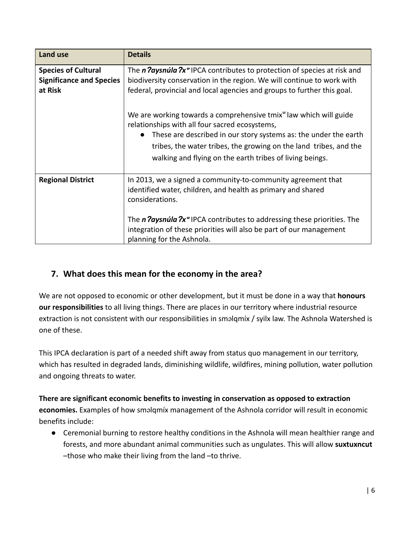| <b>Land use</b>                                                          | <b>Details</b>                                                                                                                                                                                                                                                                                                                                   |
|--------------------------------------------------------------------------|--------------------------------------------------------------------------------------------------------------------------------------------------------------------------------------------------------------------------------------------------------------------------------------------------------------------------------------------------|
| <b>Species of Cultural</b><br><b>Significance and Species</b><br>at Risk | The n <i>Paysnula Px<sup>w</sup></i> IPCA contributes to protection of species at risk and<br>biodiversity conservation in the region. We will continue to work with<br>federal, provincial and local agencies and groups to further this goal.                                                                                                  |
|                                                                          | We are working towards a comprehensive tmix <sup>w</sup> law which will guide<br>relationships with all four sacred ecosystems,<br>These are described in our story systems as: the under the earth<br>tribes, the water tribes, the growing on the land tribes, and the<br>walking and flying on the earth tribes of living beings.             |
| <b>Regional District</b>                                                 | In 2013, we a signed a community-to-community agreement that<br>identified water, children, and health as primary and shared<br>considerations.<br>The <i>n Paysnula ?x<sup>w</sup></i> IPCA contributes to addressing these priorities. The<br>integration of these priorities will also be part of our management<br>planning for the Ashnola. |

#### **7. What does this mean for the economy in the area?**

We are not opposed to economic or other development, but it must be done in a way that **honours our responsibilities** to all living things. There are places in our territory where industrial resource extraction is not consistent with our responsibilities in sməlqmíx / syilx law. The Ashnola Watershed is one of these.

This IPCA declaration is part of a needed shift away from status quo management in our territory, which has resulted in degraded lands, diminishing wildlife, wildfires, mining pollution, water pollution and ongoing threats to water.

#### **There are significant economic benefits to investing in conservation as opposed to extraction economies.** Examples of how sməlqmíx management of the Ashnola corridor will result in economic benefits include:

● Ceremonial burning to restore healthy conditions in the Ashnola will mean healthier range and forests, and more abundant animal communities such as ungulates. This will allow **suxtuxncut** –those who make their living from the land –to thrive.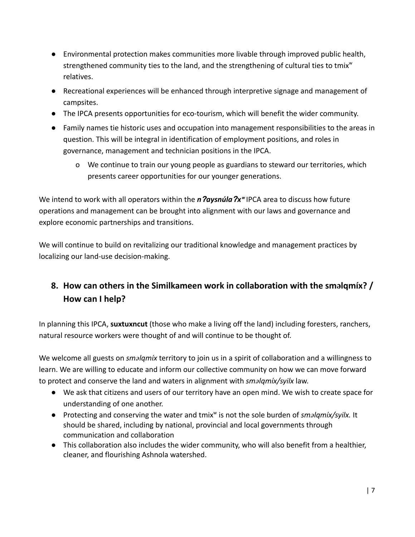- Environmental protection makes communities more livable through improved public health, strengthened community ties to the land, and the strengthening of cultural ties to tmix $w$ relatives.
- Recreational experiences will be enhanced through interpretive signage and management of campsites.
- The IPCA presents opportunities for eco-tourism, which will benefit the wider community.
- Family names tie historic uses and occupation into management responsibilities to the areas in question. This will be integral in identification of employment positions, and roles in governance, management and technician positions in the IPCA.
	- o We continue to train our young people as guardians to steward our territories, which presents career opportunities for our younger generations.

We intend to work with all operators within the *n ?aysnúla* ?x<sup>w</sup> IPCA area to discuss how future operations and management can be brought into alignment with our laws and governance and explore economic partnerships and transitions.

We will continue to build on revitalizing our traditional knowledge and management practices by localizing our land-use decision-making.

### **8. How can others in the Similkameen work in collaboration with the sm**ə**lqmíx? / How can I help?**

In planning this IPCA, **suxtuxncut** (those who make a living off the land) including foresters, ranchers, natural resource workers were thought of and will continue to be thought of.

We welcome all guests on *sm*ə*lqmíx* territory to join us in a spirit of collaboration and a willingness to learn. We are willing to educate and inform our collective community on how we can move forward to protect and conserve the land and waters in alignment with *sm*ə*lqmíx/syilx* law.

- We ask that citizens and users of our territory have an open mind. We wish to create space for understanding of one another.
- Protecting and conserving the water and tmix<sup>w</sup> is not the sole burden of *smalqmíx/syilx*. It should be shared, including by national, provincial and local governments through communication and collaboration
- This collaboration also includes the wider community, who will also benefit from a healthier, cleaner, and flourishing Ashnola watershed.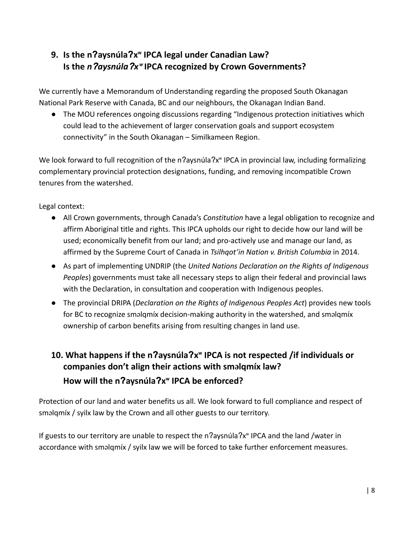### **9. Is the n**ʔ**aysnúla**ʔ**x**ʷ **IPCA legal under Canadian Law? Is the** *n*ʔ*aysnúla*ʔ*x*ʷ **IPCA recognized by Crown Governments?**

We currently have a Memorandum of Understanding regarding the proposed South Okanagan National Park Reserve with Canada, BC and our neighbours, the Okanagan Indian Band.

● The MOU references ongoing discussions regarding "Indigenous protection initiatives which could lead to the achievement of larger conservation goals and support ecosystem connectivity" in the South Okanagan – Similkameen Region.

We look forward to full recognition of the n?aysnúla?x<sup>™</sup> IPCA in provincial law, including formalizing complementary provincial protection designations, funding, and removing incompatible Crown tenures from the watershed.

Legal context:

- All Crown governments, through Canada's *Constitution* have a legal obligation to recognize and affirm Aboriginal title and rights. This IPCA upholds our right to decide how our land will be used; economically benefit from our land; and pro-actively use and manage our land, as affirmed by the Supreme Court of Canada in *Tsilhqot'in Nation v. British Columbia* in 2014.
- As part of implementing UNDRIP (the *United Nations Declaration on the Rights of Indigenous Peoples*) governments must take all necessary steps to align their federal and provincial laws with the Declaration, in consultation and cooperation with Indigenous peoples.
- The provincial DRIPA (*Declaration on the Rights of Indigenous Peoples Act*) provides new tools for BC to recognize sməlqmíx decision-making authority in the watershed, and sməlqmíx ownership of carbon benefits arising from resulting changes in land use.

## **10. What happens if the n**ʔ**aysnúla**ʔ**x**ʷ **IPCA is not respected /if individuals or companies don't align their actions with sm**ə**lqmíx law? How will the n**ʔ**aysnúla**ʔ**x**ʷ **IPCA be enforced?**

Protection of our land and water benefits us all. We look forward to full compliance and respect of sməlqmíx / syilx law by the Crown and all other guests to our territory.

If guests to our territory are unable to respect the n?aysnúla?x<sup>w</sup> IPCA and the land /water in accordance with sməlqmíx / syilx law we will be forced to take further enforcement measures.